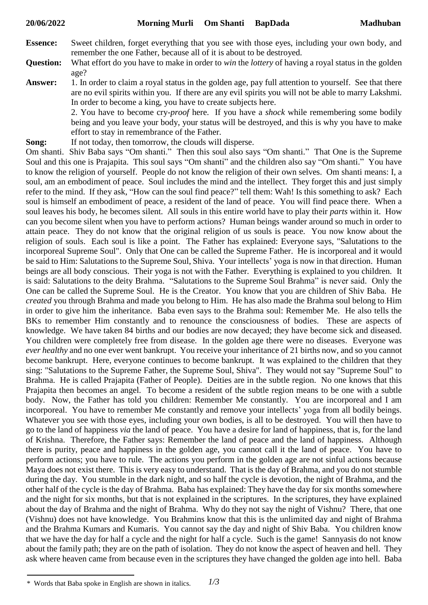- **Essence:** Sweet children, forget everything that you see with those eyes, including your own body, and remember the one Father, because all of it is about to be destroyed.
- **Question:** What effort do you have to make in order to *win* the *lottery* of having a royal status in the golden age?
- **Answer:** 1. In order to claim a royal status in the golden age, pay full attention to yourself. See that there are no evil spirits within you. If there are any evil spirits you will not be able to marry Lakshmi. In order to become a king, you have to create subjects here.

2. You have to become cry-*proof* here. If you have a *shock* while remembering some bodily being and you leave your body, your status will be destroyed, and this is why you have to make effort to stay in remembrance of the Father.

**Song:** If not today, then tomorrow, the clouds will disperse.

Om shanti. Shiv Baba says "Om shanti." Then this soul also says "Om shanti." That One is the Supreme Soul and this one is Prajapita. This soul says "Om shanti" and the children also say "Om shanti." You have to know the religion of yourself. People do not know the religion of their own selves. Om shanti means: I, a soul, am an embodiment of peace. Soul includes the mind and the intellect. They forget this and just simply refer to the mind. If they ask, "How can the soul find peace?" tell them: Wah! Is this something to ask? Each soul is himself an embodiment of peace, a resident of the land of peace. You will find peace there. When a soul leaves his body, he becomes silent. All souls in this entire world have to play their *parts* within it. How can you become silent when you have to perform actions? Human beings wander around so much in order to attain peace. They do not know that the original religion of us souls is peace. You now know about the religion of souls. Each soul is like a point. The Father has explained: Everyone says, "Salutations to the incorporeal Supreme Soul". Only that One can be called the Supreme Father. He is incorporeal and it would be said to Him: Salutations to the Supreme Soul, Shiva. Your intellects' yoga is now in that direction. Human beings are all body conscious. Their yoga is not with the Father. Everything is explained to you children. It is said: Salutations to the deity Brahma. "Salutations to the Supreme Soul Brahma" is never said. Only the One can be called the Supreme Soul. He is the Creator. You know that you are children of Shiv Baba. He *created* you through Brahma and made you belong to Him. He has also made the Brahma soul belong to Him in order to give him the inheritance. Baba even says to the Brahma soul: Remember Me. He also tells the BKs to remember Him constantly and to renounce the consciousness of bodies. These are aspects of knowledge. We have taken 84 births and our bodies are now decayed; they have become sick and diseased. You children were completely free from disease. In the golden age there were no diseases. Everyone was *ever healthy* and no one ever went bankrupt. You receive your inheritance of 21 births now, and so you cannot become bankrupt. Here, everyone continues to become bankrupt. It was explained to the children that they sing: "Salutations to the Supreme Father, the Supreme Soul, Shiva". They would not say "Supreme Soul" to Brahma. He is called Prajapita (Father of People). Deities are in the subtle region. No one knows that this Prajapita then becomes an angel. To become a resident of the subtle region means to be one with a subtle body. Now, the Father has told you children: Remember Me constantly. You are incorporeal and I am incorporeal. You have to remember Me constantly and remove your intellects' yoga from all bodily beings. Whatever you see with those eyes, including your own bodies, is all to be destroyed. You will then have to go to the land of happiness *via* the land of peace. You have a desire for land of happiness, that is, for the land of Krishna. Therefore, the Father says: Remember the land of peace and the land of happiness. Although there is purity, peace and happiness in the golden age, you cannot call it the land of peace. You have to perform actions; you have to rule. The actions you perform in the golden age are not sinful actions because Maya does not exist there. This is very easy to understand. That is the day of Brahma, and you do not stumble during the day. You stumble in the dark night, and so half the cycle is devotion, the night of Brahma, and the other half of the cycle is the day of Brahma. Baba has explained: They have the day for six months somewhere and the night for six months, but that is not explained in the scriptures. In the scriptures, they have explained about the day of Brahma and the night of Brahma. Why do they not say the night of Vishnu? There, that one (Vishnu) does not have knowledge. You Brahmins know that this is the unlimited day and night of Brahma and the Brahma Kumars and Kumaris. You cannot say the day and night of Shiv Baba. You children know that we have the day for half a cycle and the night for half a cycle. Such is the game! Sannyasis do not know about the family path; they are on the path of isolation. They do not know the aspect of heaven and hell. They ask where heaven came from because even in the scriptures they have changed the golden age into hell. Baba

*<sup>1/3</sup>* \* Words that Baba spoke in English are shown in italics.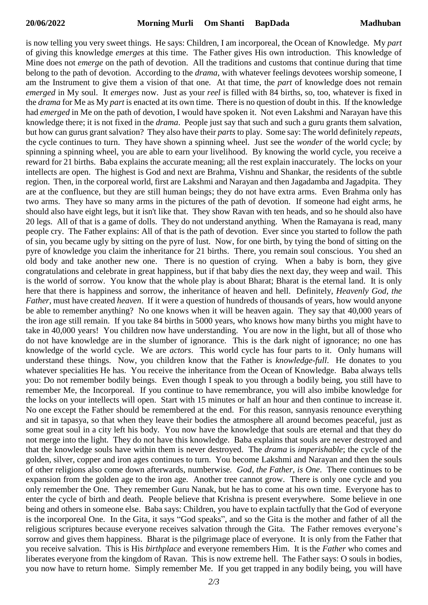is now telling you very sweet things. He says: Children, I am incorporeal, the Ocean of Knowledge. My *part* of giving this knowledge *emerges* at this time. The Father gives His own introduction. This knowledge of Mine does not *emerge* on the path of devotion. All the traditions and customs that continue during that time belong to the path of devotion. According to the *drama*, with whatever feelings devotees worship someone, I am the Instrument to give them a vision of that one. At that time, the *part* of knowledge does not remain *emerged* in My soul. It *emerges* now. Just as your *reel* is filled with 84 births, so, too, whatever is fixed in the *drama* for Me as My *part* is enacted at its own time. There is no question of doubt in this. If the knowledge had *emerged* in Me on the path of devotion, I would have spoken it. Not even Lakshmi and Narayan have this knowledge there; it is not fixed in the *drama*. People just say that such and such a guru grants them salvation, but how can gurus grant salvation? They also have their *parts* to play. Some say: The world definitely *repeats*, the cycle continues to turn. They have shown a spinning wheel. Just see the *wonder* of the world cycle; by spinning a spinning wheel, you are able to earn your livelihood. By knowing the world cycle, you receive a reward for 21 births. Baba explains the accurate meaning; all the rest explain inaccurately. The locks on your intellects are open. The highest is God and next are Brahma, Vishnu and Shankar, the residents of the subtle region. Then, in the corporeal world, first are Lakshmi and Narayan and then Jagadamba and Jagadpita. They are at the confluence, but they are still human beings; they do not have extra arms. Even Brahma only has two arms. They have so many arms in the pictures of the path of devotion. If someone had eight arms, he should also have eight legs, but it isn't like that. They show Ravan with ten heads, and so he should also have 20 legs. All of that is a game of dolls. They do not understand anything. When the Ramayana is read, many people cry. The Father explains: All of that is the path of devotion. Ever since you started to follow the path of sin, you became ugly by sitting on the pyre of lust. Now, for one birth, by tying the bond of sitting on the pyre of knowledge you claim the inheritance for 21 births. There, you remain soul conscious. You shed an old body and take another new one. There is no question of crying. When a baby is born, they give congratulations and celebrate in great happiness, but if that baby dies the next day, they weep and wail. This is the world of sorrow. You know that the whole play is about Bharat; Bharat is the eternal land. It is only here that there is happiness and sorrow, the inheritance of heaven and hell. Definitely, *Heavenly God, the Father,* must have created *heaven*. If it were a question of hundreds of thousands of years, how would anyone be able to remember anything? No one knows when it will be heaven again. They say that 40,000 years of the iron age still remain. If you take 84 births in 5000 years, who knows how many births you might have to take in 40,000 years! You children now have understanding. You are now in the light, but all of those who do not have knowledge are in the slumber of ignorance. This is the dark night of ignorance; no one has knowledge of the world cycle. We are *actors*. This world cycle has four parts to it. Only humans will understand these things. Now, you children know that the Father is *knowledge-full*. He donates to you whatever specialities He has. You receive the inheritance from the Ocean of Knowledge. Baba always tells you: Do not remember bodily beings. Even though I speak to you through a bodily being, you still have to remember Me, the Incorporeal. If you continue to have remembrance, you will also imbibe knowledge for the locks on your intellects will open. Start with 15 minutes or half an hour and then continue to increase it. No one except the Father should be remembered at the end. For this reason, sannyasis renounce everything and sit in tapasya, so that when they leave their bodies the atmosphere all around becomes peaceful, just as some great soul in a city left his body. You now have the knowledge that souls are eternal and that they do not merge into the light. They do not have this knowledge. Baba explains that souls are never destroyed and that the knowledge souls have within them is never destroyed. The *drama* is *imperishable*; the cycle of the golden, silver, copper and iron ages continues to turn. You become Lakshmi and Narayan and then the souls of other religions also come down afterwards, numberwise*. God, the Father, is One*. There continues to be expansion from the golden age to the iron age. Another tree cannot grow. There is only one cycle and you only remember the One. They remember Guru Nanak, but he has to come at his own time. Everyone has to enter the cycle of birth and death. People believe that Krishna is present everywhere. Some believe in one being and others in someone else. Baba says: Children, you have to explain tactfully that the God of everyone is the incorporeal One. In the Gita, it says "God speaks", and so the Gita is the mother and father of all the religious scriptures because everyone receives salvation through the Gita. The Father removes everyone's sorrow and gives them happiness. Bharat is the pilgrimage place of everyone. It is only from the Father that you receive salvation. This is His *birthplace* and everyone remembers Him. It is the *Father* who comes and liberates everyone from the kingdom of Ravan. This is now extreme hell. The Father says: O souls in bodies, you now have to return home. Simply remember Me. If you get trapped in any bodily being, you will have